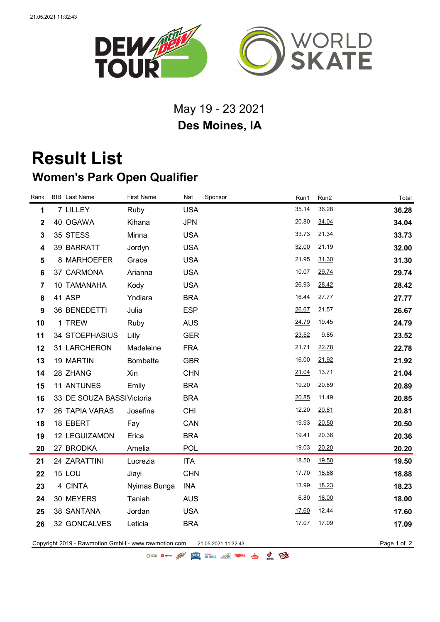

## May 19 - 23 2021 **Des Moines, IA**

## **Result List Women's Park Open Qualifier**

| Rank           | <b>BIB</b> Last Name      | <b>First Name</b> | Nat        | Sponsor | Run1  | Run <sub>2</sub> | Total |
|----------------|---------------------------|-------------------|------------|---------|-------|------------------|-------|
| 1              | 7 LILLEY                  | Ruby              | <b>USA</b> |         | 35.14 | 36.28            | 36.28 |
| $\mathbf 2$    | 40 OGAWA                  | Kihana            | <b>JPN</b> |         | 20.80 | 34.04            | 34.04 |
| $\mathbf{3}$   | 35 STESS                  | Minna             | <b>USA</b> |         | 33.73 | 21.34            | 33.73 |
| 4              | 39 BARRATT                | Jordyn            | <b>USA</b> |         | 32.00 | 21.19            | 32.00 |
| 5              | 8 MARHOEFER               | Grace             | <b>USA</b> |         | 21.95 | 31.30            | 31.30 |
| 6              | 37 CARMONA                | Arianna           | <b>USA</b> |         | 10.07 | 29.74            | 29.74 |
| $\overline{7}$ | 10 TAMANAHA               | Kody              | <b>USA</b> |         | 26.93 | 28.42            | 28.42 |
| 8              | 41 ASP                    | Yndiara           | <b>BRA</b> |         | 16.44 | 27.77            | 27.77 |
| 9              | 36 BENEDETTI              | Julia             | <b>ESP</b> |         | 26.67 | 21.57            | 26.67 |
| 10             | 1 TREW                    | Ruby              | <b>AUS</b> |         | 24.79 | 19.45            | 24.79 |
| 11             | 34 STOEPHASIUS            | Lilly             | <b>GER</b> |         | 23.52 | 9.85             | 23.52 |
| 12             | 31 LARCHERON              | Madeleine         | <b>FRA</b> |         | 21.71 | 22.78            | 22.78 |
| 13             | 19 MARTIN                 | <b>Bombette</b>   | <b>GBR</b> |         | 16.00 | 21.92            | 21.92 |
| 14             | 28 ZHANG                  | Xin               | <b>CHN</b> |         | 21.04 | 13.71            | 21.04 |
| 15             | 11 ANTUNES                | Emily             | <b>BRA</b> |         | 19.20 | 20.89            | 20.89 |
| 16             | 33 DE SOUZA BASSIVictoria |                   | <b>BRA</b> |         | 20.85 | 11.49            | 20.85 |
| 17             | 26 TAPIA VARAS            | Josefina          | <b>CHI</b> |         | 12.20 | 20.81            | 20.81 |
| 18             | 18 EBERT                  | Fay               | CAN        |         | 19.93 | 20.50            | 20.50 |
| 19             | 12 LEGUIZAMON             | Erica             | <b>BRA</b> |         | 19.41 | 20.36            | 20.36 |
| 20             | 27 BRODKA                 | Amelia            | <b>POL</b> |         | 19.03 | 20.20            | 20.20 |
| 21             | 24 ZARATTINI              | Lucrezia          | <b>ITA</b> |         | 18.50 | 19.50            | 19.50 |
| 22             | 15 LOU                    | Jiayi             | <b>CHN</b> |         | 17.70 | 18.88            | 18.88 |
| 23             | 4 CINTA                   | Nyimas Bunga      | INA        |         | 13.99 | 18.23            | 18.23 |
| 24             | 30 MEYERS                 | Taniah            | <b>AUS</b> |         | 6.80  | 18.00            | 18.00 |
| 25             | 38 SANTANA                | Jordan            | <b>USA</b> |         | 17.60 | 12.44            | 17.60 |
| 26             | 32 GONCALVES              | Leticia           | <b>BRA</b> |         | 17.07 | 17.09            | 17.09 |
|                |                           |                   |            |         |       |                  |       |

Copyright 2019 - Rawmotion GmbH - www.rawmotion.com 21.05.2021 11:32:43 Page 1 of 2

OSCRE EL TOYOTA AND ELECTRIC SESSIONES SOLO HUVOR A C TEXT